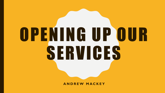# OPENING UP OUR SERVICES

**A N D R E W M A C K E Y**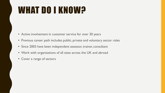## WHAT DO I KNOW?

- Active involvement in customer service for over 30 years
- Previous career path includes public, private and voluntary sector roles
- Since 2003 have been independent assessor, trainer, consultant
- Work with organisations of all sizes across the UK and abroad
- Cover a range of sectors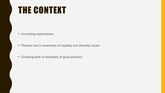### THE CONTEXT

- Increasing expectations
- Massive rise in awareness of equality and diversity issues
- Growing bank of examples of good practice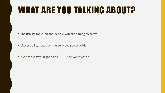## WHAT ARE YOU TALKING ABOUT?

- Inclusivity: focus on the people you are aiming to serve
- Accessibility: focus on the services you provide
- Get those two aligned and ……..the wow factor!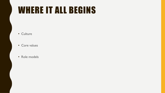#### WHERE IT ALL BEGINS

- Culture
- Core values
- Role models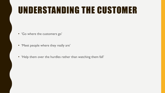### UNDERSTANDING THE CUSTOMER

- 'Go where the customers go'
- 'Meet people where they really are'
- 'Help them over the hurdles rather than watching them fall'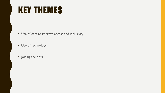#### KEY THEMES

- Use of data to improve access and inclusivity
- Use of technology
- Joining the dots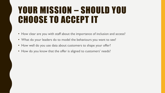#### YOUR MISSION – SHOULD YOU CHOOSE TO ACCEPT IT

- How clear are you with staff about the importance of inclusion and access?
- What do your leaders do to model the behaviours you want to see?
- How well do you use data about customers to shape your offer?
- How do you know that the offer is aligned to customers' needs?